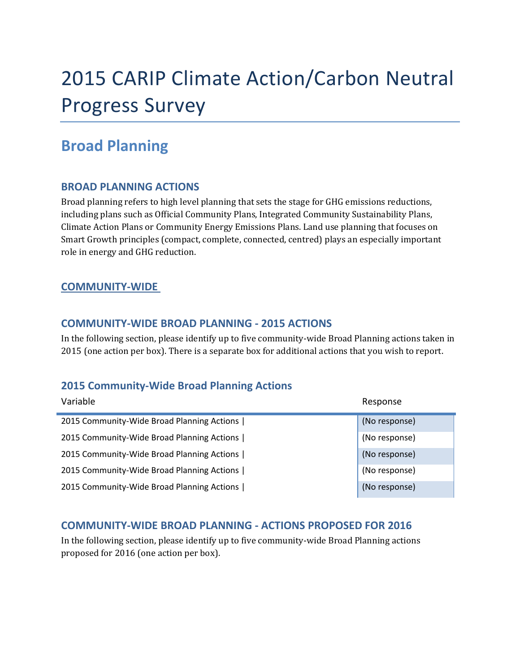# 2015 CARIP Climate Action/Carbon Neutral Progress Survey

# **Broad Planning**

### **BROAD PLANNING ACTIONS**

Broad planning refers to high level planning that sets the stage for GHG emissions reductions, including plans such as Official Community Plans, Integrated Community Sustainability Plans, Climate Action Plans or Community Energy Emissions Plans. Land use planning that focuses on Smart Growth principles (compact, complete, connected, centred) plays an especially important role in energy and GHG reduction.

### **COMMUNITY‐WIDE**

ř.

#### **COMMUNITY‐WIDE BROAD PLANNING ‐ 2015 ACTIONS**

In the following section, please identify up to five community-wide Broad Planning actions taken in 2015 (one action per box). There is a separate box for additional actions that you wish to report.

# **2015 Community‐Wide Broad Planning Actions**

| Variable                                   | Response      |
|--------------------------------------------|---------------|
| 2015 Community-Wide Broad Planning Actions | (No response) |
| 2015 Community-Wide Broad Planning Actions | (No response) |
| 2015 Community-Wide Broad Planning Actions | (No response) |
| 2015 Community-Wide Broad Planning Actions | (No response) |
| 2015 Community-Wide Broad Planning Actions | (No response) |

#### **COMMUNITY‐WIDE BROAD PLANNING ‐ ACTIONS PROPOSED FOR 2016**

In the following section, please identify up to five community-wide Broad Planning actions proposed for 2016 (one action per box).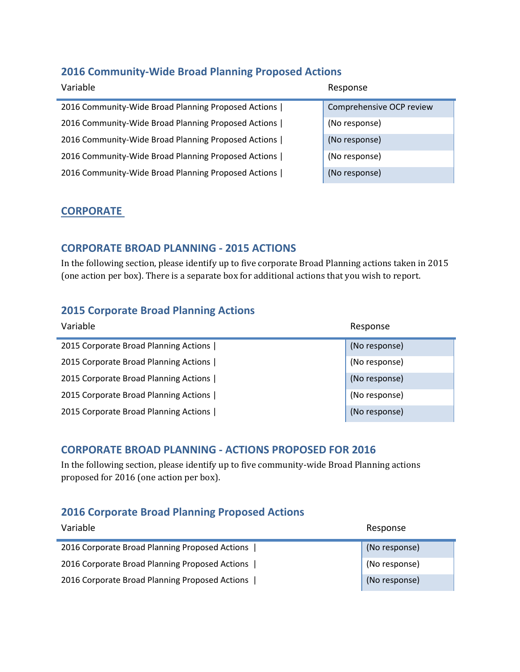#### **Community‐Wide Broad Planning Proposed Actions**

| Variable                                            | Response                 |
|-----------------------------------------------------|--------------------------|
| 2016 Community-Wide Broad Planning Proposed Actions | Comprehensive OCP review |
| 2016 Community-Wide Broad Planning Proposed Actions | (No response)            |
| 2016 Community-Wide Broad Planning Proposed Actions | (No response)            |
| 2016 Community-Wide Broad Planning Proposed Actions | (No response)            |
| 2016 Community-Wide Broad Planning Proposed Actions | (No response)            |

#### **CORPORATE**

#### **CORPORATE BROAD PLANNING ‐ 2015 ACTIONS**

In the following section, please identify up to five corporate Broad Planning actions taken in 2015 (one action per box). There is a separate box for additional actions that you wish to report.

#### **Corporate Broad Planning Actions**

| Variable                              | Response      |
|---------------------------------------|---------------|
| 2015 Corporate Broad Planning Actions | (No response) |
| 2015 Corporate Broad Planning Actions | (No response) |
| 2015 Corporate Broad Planning Actions | (No response) |
| 2015 Corporate Broad Planning Actions | (No response) |
| 2015 Corporate Broad Planning Actions | (No response) |

#### **CORPORATE BROAD PLANNING ‐ ACTIONS PROPOSED FOR 2016**

In the following section, please identify up to five community-wide Broad Planning actions proposed for 2016 (one action per box).

### **Corporate Broad Planning Proposed Actions**

| Variable                                       | Response      |
|------------------------------------------------|---------------|
| 2016 Corporate Broad Planning Proposed Actions | (No response) |
| 2016 Corporate Broad Planning Proposed Actions | (No response) |
| 2016 Corporate Broad Planning Proposed Actions | (No response) |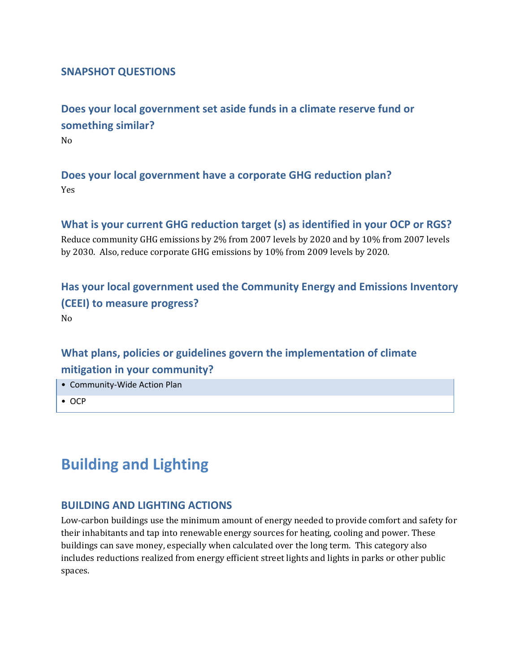#### **SNAPSHOT QUESTIONS**

**Does your local government set aside funds in a climate reserve fund or something similar?** No 

**Does your local government have a corporate GHG reduction plan?** Yes 

**What is your current GHG reduction target (s) as identified in your OCP or RGS?** Reduce community GHG emissions by 2% from 2007 levels by 2020 and by 10% from 2007 levels by 2030. Also, reduce corporate GHG emissions by 10% from 2009 levels by 2020.

**Has your local government used the Community Energy and Emissions Inventory (CEEI) to measure progress?** No 

# **What plans, policies or guidelines govern the implementation of climate mitigation in your community?**

- Community‐Wide Action Plan
- OCP

# **Building and Lighting**

#### **BUILDING AND LIGHTING ACTIONS**

Low-carbon buildings use the minimum amount of energy needed to provide comfort and safety for their inhabitants and tap into renewable energy sources for heating, cooling and power. These buildings can save money, especially when calculated over the long term. This category also includes reductions realized from energy efficient street lights and lights in parks or other public spaces.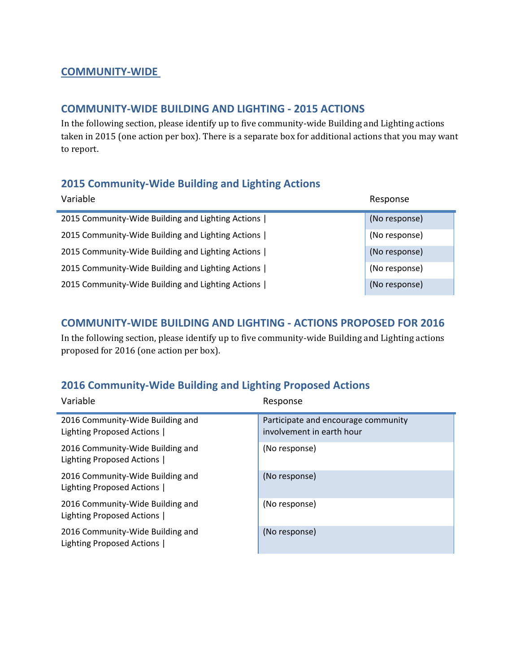#### **COMMUNITY‐WIDE**

#### **COMMUNITY‐WIDE BUILDING AND LIGHTING ‐ 2015 ACTIONS**

In the following section, please identify up to five community-wide Building and Lighting actions taken in 2015 (one action per box). There is a separate box for additional actions that you may want to report.

### **2015 Community‐Wide Building and Lighting Actions**

| Variable                                          | Response      |
|---------------------------------------------------|---------------|
| 2015 Community-Wide Building and Lighting Actions | (No response) |
| 2015 Community-Wide Building and Lighting Actions | (No response) |
| 2015 Community-Wide Building and Lighting Actions | (No response) |
| 2015 Community-Wide Building and Lighting Actions | (No response) |
| 2015 Community-Wide Building and Lighting Actions | (No response) |

#### **COMMUNITY‐WIDE BUILDING AND LIGHTING ‐ ACTIONS PROPOSED FOR 2016**

In the following section, please identify up to five community-wide Building and Lighting actions proposed for 2016 (one action per box).

# **2016 Community‐Wide Building and Lighting Proposed Actions**

| Variable                                                      | Response                                                         |
|---------------------------------------------------------------|------------------------------------------------------------------|
| 2016 Community-Wide Building and<br>Lighting Proposed Actions | Participate and encourage community<br>involvement in earth hour |
| 2016 Community-Wide Building and<br>Lighting Proposed Actions | (No response)                                                    |
| 2016 Community-Wide Building and<br>Lighting Proposed Actions | (No response)                                                    |
| 2016 Community-Wide Building and<br>Lighting Proposed Actions | (No response)                                                    |
| 2016 Community-Wide Building and<br>Lighting Proposed Actions | (No response)                                                    |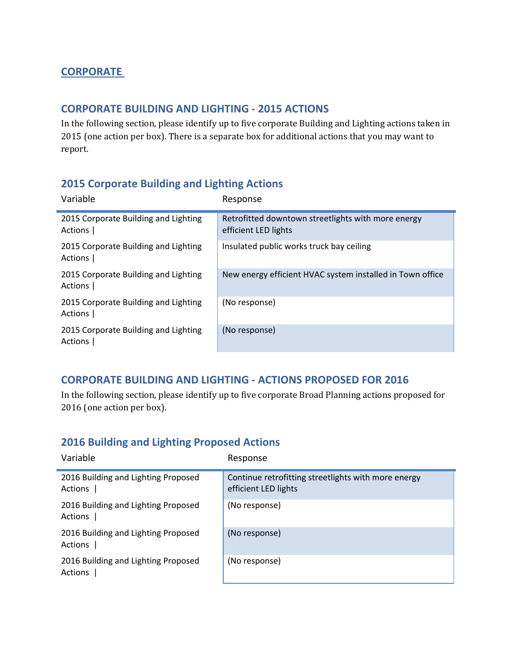### **CORPORATE**

#### **CORPORATE BUILDING AND LIGHTING ‐ 2015 ACTIONS**

In the following section, please identify up to five corporate Building and Lighting actions taken in 2015 (one action per box). There is a separate box for additional actions that you may want to report. 

### **2015 Corporate Building and Lighting Actions**

| Variable                                        | Response                                                                   |
|-------------------------------------------------|----------------------------------------------------------------------------|
| 2015 Corporate Building and Lighting<br>Actions | Retrofitted downtown streetlights with more energy<br>efficient LED lights |
| 2015 Corporate Building and Lighting<br>Actions | Insulated public works truck bay ceiling                                   |
| 2015 Corporate Building and Lighting<br>Actions | New energy efficient HVAC system installed in Town office                  |
| 2015 Corporate Building and Lighting<br>Actions | (No response)                                                              |
| 2015 Corporate Building and Lighting<br>Actions | (No response)                                                              |

#### **CORPORATE BUILDING AND LIGHTING ‐ ACTIONS PROPOSED FOR 2016**

In the following section, please identify up to five corporate Broad Planning actions proposed for 2016 (one action per box).

#### **2016 Building and Lighting Proposed Actions**

| Variable                                       | Response                                                                    |
|------------------------------------------------|-----------------------------------------------------------------------------|
| 2016 Building and Lighting Proposed<br>Actions | Continue retrofitting streetlights with more energy<br>efficient LED lights |
| 2016 Building and Lighting Proposed<br>Actions | (No response)                                                               |
| 2016 Building and Lighting Proposed<br>Actions | (No response)                                                               |
| 2016 Building and Lighting Proposed<br>Actions | (No response)                                                               |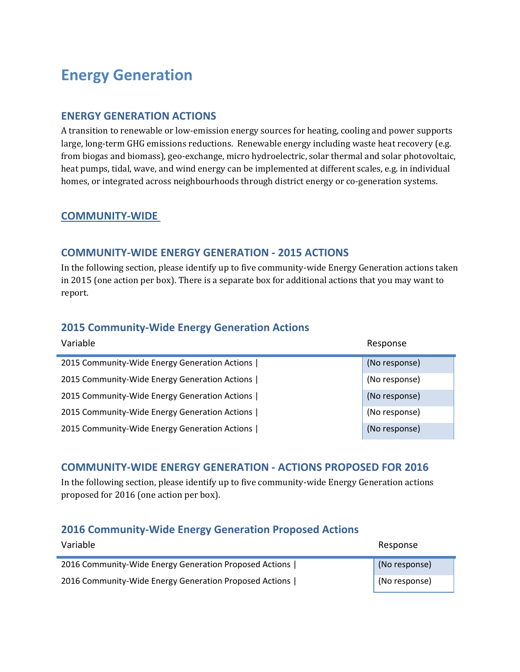# **Energy Generation**

#### **ENERGY GENERATION ACTIONS**

A transition to renewable or low-emission energy sources for heating, cooling and power supports large, long-term GHG emissions reductions. Renewable energy including waste heat recovery (e.g. from biogas and biomass), geo-exchange, micro hydroelectric, solar thermal and solar photovoltaic, heat pumps, tidal, wave, and wind energy can be implemented at different scales, e.g. in individual homes, or integrated across neighbourhoods through district energy or co-generation systems.

#### **COMMUNITY‐WIDE**

#### **COMMUNITY‐WIDE ENERGY GENERATION ‐ 2015 ACTIONS**

In the following section, please identify up to five community-wide Energy Generation actions taken in 2015 (one action per box). There is a separate box for additional actions that you may want to report. 

#### **2015 Community‐Wide Energy Generation Actions**

| Variable                                      | Response      |
|-----------------------------------------------|---------------|
| 2015 Community-Wide Energy Generation Actions | (No response) |
| 2015 Community-Wide Energy Generation Actions | (No response) |
| 2015 Community-Wide Energy Generation Actions | (No response) |
| 2015 Community-Wide Energy Generation Actions | (No response) |
| 2015 Community-Wide Energy Generation Actions | (No response) |

#### **COMMUNITY‐WIDE ENERGY GENERATION ‐ ACTIONS PROPOSED FOR 2016**

In the following section, please identify up to five community-wide Energy Generation actions proposed for 2016 (one action per box).

#### **2016 Community‐Wide Energy Generation Proposed Actions**

| Variable                                               | Response      |
|--------------------------------------------------------|---------------|
| 2016 Community-Wide Energy Generation Proposed Actions | (No response) |
| 2016 Community-Wide Energy Generation Proposed Actions | (No response) |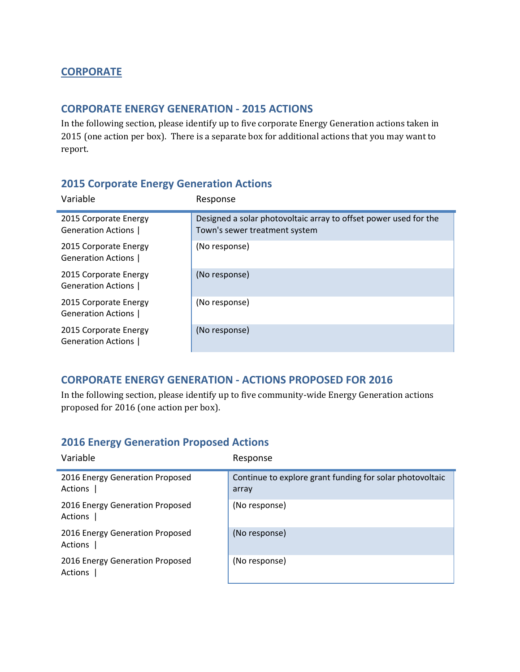### **CORPORATE**

#### **CORPORATE ENERGY GENERATION ‐ 2015 ACTIONS**

In the following section, please identify up to five corporate Energy Generation actions taken in 2015 (one action per box). There is a separate box for additional actions that you may want to report. 

#### **2015 Corporate Energy Generation Actions**

| Variable                                           | Response                                                                                          |
|----------------------------------------------------|---------------------------------------------------------------------------------------------------|
| 2015 Corporate Energy<br><b>Generation Actions</b> | Designed a solar photovoltaic array to offset power used for the<br>Town's sewer treatment system |
| 2015 Corporate Energy<br><b>Generation Actions</b> | (No response)                                                                                     |
| 2015 Corporate Energy<br><b>Generation Actions</b> | (No response)                                                                                     |
| 2015 Corporate Energy<br>Generation Actions        | (No response)                                                                                     |
| 2015 Corporate Energy<br><b>Generation Actions</b> | (No response)                                                                                     |

#### **CORPORATE ENERGY GENERATION ‐ ACTIONS PROPOSED FOR 2016**

In the following section, please identify up to five community-wide Energy Generation actions proposed for 2016 (one action per box).

#### **2016 Energy Generation Proposed Actions**

| Variable                                   | Response                                                          |
|--------------------------------------------|-------------------------------------------------------------------|
| 2016 Energy Generation Proposed<br>Actions | Continue to explore grant funding for solar photovoltaic<br>array |
| 2016 Energy Generation Proposed<br>Actions | (No response)                                                     |
| 2016 Energy Generation Proposed<br>Actions | (No response)                                                     |
| 2016 Energy Generation Proposed<br>Actions | (No response)                                                     |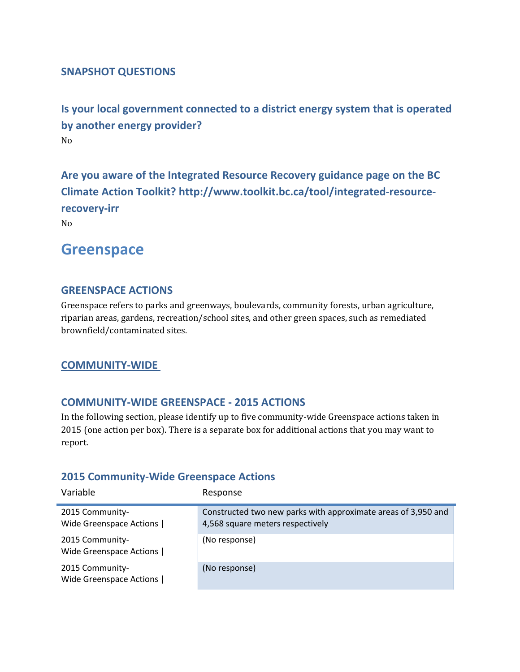#### **SNAPSHOT QUESTIONS**

**Is your local government connected to a district energy system that is operated by another energy provider?** No 

**Are you aware of the Integrated Resource Recovery guidance page on the BC Climate Action Toolkit? http://www.toolkit.bc.ca/tool/integrated‐resource‐ recovery‐irr**

No 

ř.

# **Greenspace**

#### **GREENSPACE ACTIONS**

Greenspace refers to parks and greenways, boulevards, community forests, urban agriculture, riparian areas, gardens, recreation/school sites, and other green spaces, such as remediated brownfield/contaminated sites.

#### **COMMUNITY‐WIDE**

#### **COMMUNITY‐WIDE GREENSPACE ‐ 2015 ACTIONS**

In the following section, please identify up to five community-wide Greenspace actions taken in 2015 (one action per box). There is a separate box for additional actions that you may want to report. 

#### **2015 Community‐Wide Greenspace Actions**

| Variable                                   | Response                                                                                          |
|--------------------------------------------|---------------------------------------------------------------------------------------------------|
| 2015 Community-<br>Wide Greenspace Actions | Constructed two new parks with approximate areas of 3,950 and<br>4,568 square meters respectively |
| 2015 Community-<br>Wide Greenspace Actions | (No response)                                                                                     |
| 2015 Community-<br>Wide Greenspace Actions | (No response)                                                                                     |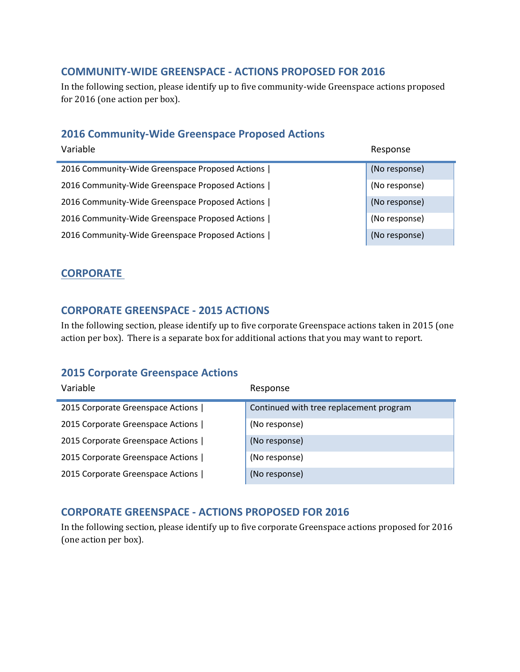#### **COMMUNITY‐WIDE GREENSPACE ‐ ACTIONS PROPOSED FOR 2016**

In the following section, please identify up to five community-wide Greenspace actions proposed for 2016 (one action per box).

# **2016 Community‐Wide Greenspace Proposed Actions**

| Variable                                        | Response      |
|-------------------------------------------------|---------------|
| 2016 Community-Wide Greenspace Proposed Actions | (No response) |
| 2016 Community-Wide Greenspace Proposed Actions | (No response) |
| 2016 Community-Wide Greenspace Proposed Actions | (No response) |
| 2016 Community-Wide Greenspace Proposed Actions | (No response) |
| 2016 Community-Wide Greenspace Proposed Actions | (No response) |

#### **CORPORATE**

#### **CORPORATE GREENSPACE ‐ 2015 ACTIONS**

In the following section, please identify up to five corporate Greenspace actions taken in 2015 (one action per box). There is a separate box for additional actions that you may want to report.

#### **2015 Corporate Greenspace Actions**

| Variable                          | Response                                |
|-----------------------------------|-----------------------------------------|
| 2015 Corporate Greenspace Actions | Continued with tree replacement program |
| 2015 Corporate Greenspace Actions | (No response)                           |
| 2015 Corporate Greenspace Actions | (No response)                           |
| 2015 Corporate Greenspace Actions | (No response)                           |
| 2015 Corporate Greenspace Actions | (No response)                           |

#### **CORPORATE GREENSPACE ‐ ACTIONS PROPOSED FOR 2016**

In the following section, please identify up to five corporate Greenspace actions proposed for 2016 (one action per box).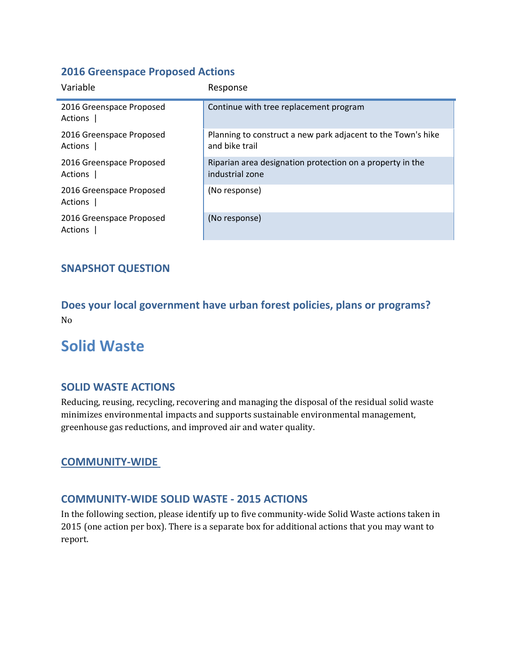#### **2016 Greenspace Proposed Actions**

| Variable                            | Response                                                                       |
|-------------------------------------|--------------------------------------------------------------------------------|
| 2016 Greenspace Proposed<br>Actions | Continue with tree replacement program                                         |
| 2016 Greenspace Proposed<br>Actions | Planning to construct a new park adjacent to the Town's hike<br>and bike trail |
| 2016 Greenspace Proposed<br>Actions | Riparian area designation protection on a property in the<br>industrial zone   |
| 2016 Greenspace Proposed<br>Actions | (No response)                                                                  |
| 2016 Greenspace Proposed<br>Actions | (No response)                                                                  |

### **SNAPSHOT QUESTION**

**Does your local government have urban forest policies, plans or programs?** No 

# **Solid Waste**

#### **SOLID WASTE ACTIONS**

Reducing, reusing, recycling, recovering and managing the disposal of the residual solid waste minimizes environmental impacts and supports sustainable environmental management, greenhouse gas reductions, and improved air and water quality.

#### **COMMUNITY‐WIDE**

#### **COMMUNITY‐WIDE SOLID WASTE ‐ 2015 ACTIONS**

In the following section, please identify up to five community-wide Solid Waste actions taken in 2015 (one action per box). There is a separate box for additional actions that you may want to report.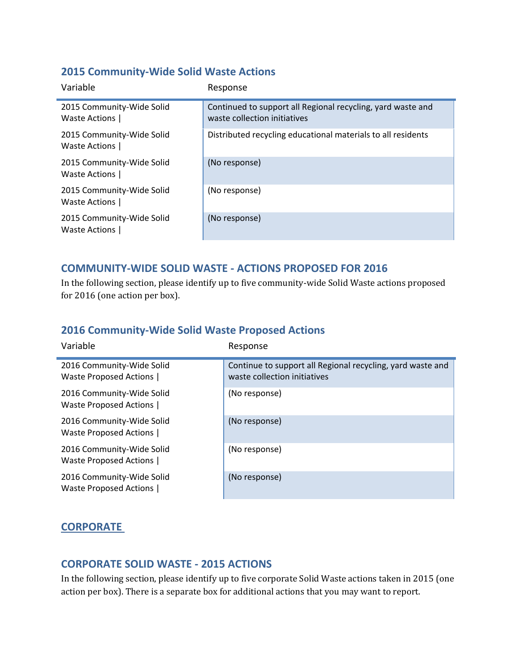#### **2015 Community‐Wide Solid Waste Actions**

| Variable                                   | Response                                                                                    |
|--------------------------------------------|---------------------------------------------------------------------------------------------|
| 2015 Community-Wide Solid<br>Waste Actions | Continued to support all Regional recycling, yard waste and<br>waste collection initiatives |
| 2015 Community-Wide Solid<br>Waste Actions | Distributed recycling educational materials to all residents                                |
| 2015 Community-Wide Solid<br>Waste Actions | (No response)                                                                               |
| 2015 Community-Wide Solid<br>Waste Actions | (No response)                                                                               |
| 2015 Community-Wide Solid<br>Waste Actions | (No response)                                                                               |

### **COMMUNITY‐WIDE SOLID WASTE ‐ ACTIONS PROPOSED FOR 2016**

In the following section, please identify up to five community-wide Solid Waste actions proposed for 2016 (one action per box).

### **2016 Community‐Wide Solid Waste Proposed Actions**

| Variable                                                     | Response                                                                                   |
|--------------------------------------------------------------|--------------------------------------------------------------------------------------------|
| 2016 Community-Wide Solid<br><b>Waste Proposed Actions  </b> | Continue to support all Regional recycling, yard waste and<br>waste collection initiatives |
| 2016 Community-Wide Solid<br><b>Waste Proposed Actions  </b> | (No response)                                                                              |
| 2016 Community-Wide Solid<br><b>Waste Proposed Actions  </b> | (No response)                                                                              |
| 2016 Community-Wide Solid<br>Waste Proposed Actions          | (No response)                                                                              |
| 2016 Community-Wide Solid<br><b>Waste Proposed Actions  </b> | (No response)                                                                              |

# **CORPORATE**

#### **CORPORATE SOLID WASTE ‐ 2015 ACTIONS**

In the following section, please identify up to five corporate Solid Waste actions taken in 2015 (one action per box). There is a separate box for additional actions that you may want to report.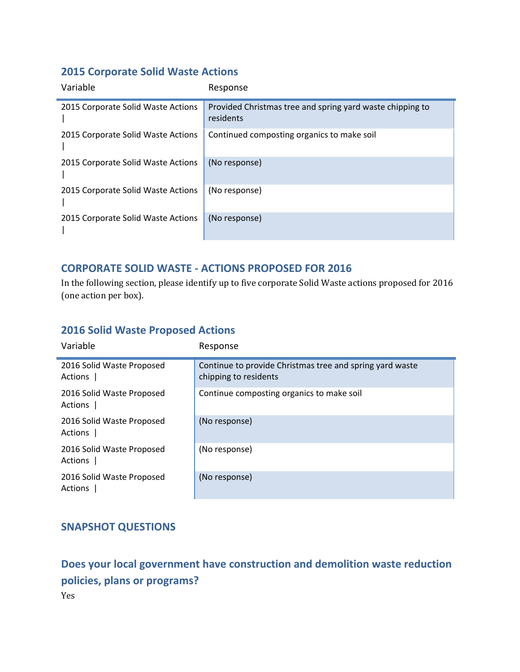# **2015 Corporate Solid Waste Actions**

| Variable                           | Response                                                               |
|------------------------------------|------------------------------------------------------------------------|
| 2015 Corporate Solid Waste Actions | Provided Christmas tree and spring yard waste chipping to<br>residents |
| 2015 Corporate Solid Waste Actions | Continued composting organics to make soil                             |
| 2015 Corporate Solid Waste Actions | (No response)                                                          |
| 2015 Corporate Solid Waste Actions | (No response)                                                          |
| 2015 Corporate Solid Waste Actions | (No response)                                                          |

# **CORPORATE SOLID WASTE ‐ ACTIONS PROPOSED FOR 2016**

In the following section, please identify up to five corporate Solid Waste actions proposed for 2016 (one action per box).

#### **2016 Solid Waste Proposed Actions**

| Variable                             | Response                                                                          |
|--------------------------------------|-----------------------------------------------------------------------------------|
| 2016 Solid Waste Proposed<br>Actions | Continue to provide Christmas tree and spring yard waste<br>chipping to residents |
| 2016 Solid Waste Proposed<br>Actions | Continue composting organics to make soil                                         |
| 2016 Solid Waste Proposed<br>Actions | (No response)                                                                     |
| 2016 Solid Waste Proposed<br>Actions | (No response)                                                                     |
| 2016 Solid Waste Proposed<br>Actions | (No response)                                                                     |

# **SNAPSHOT QUESTIONS**

**Does your local government have construction and demolition waste reduction policies, plans or programs?** Yes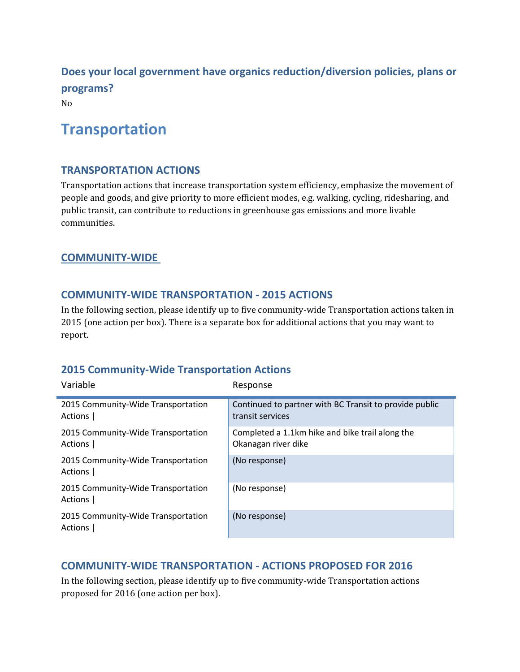**Does your local government have organics reduction/diversion policies, plans or programs?** No 

# **Transportation**

#### **TRANSPORTATION ACTIONS**

Transportation actions that increase transportation system efficiency, emphasize the movement of people and goods, and give priority to more efficient modes, e.g. walking, cycling, ridesharing, and public transit, can contribute to reductions in greenhouse gas emissions and more livable communities. 

#### **COMMUNITY‐WIDE**

#### **COMMUNITY‐WIDE TRANSPORTATION ‐ 2015 ACTIONS**

In the following section, please identify up to five community-wide Transportation actions taken in 2015 (one action per box). There is a separate box for additional actions that you may want to report. 

#### **2015 Community‐Wide Transportation Actions**

| Variable                                      | Response                                                                   |
|-----------------------------------------------|----------------------------------------------------------------------------|
| 2015 Community-Wide Transportation<br>Actions | Continued to partner with BC Transit to provide public<br>transit services |
| 2015 Community-Wide Transportation<br>Actions | Completed a 1.1km hike and bike trail along the<br>Okanagan river dike     |
| 2015 Community-Wide Transportation<br>Actions | (No response)                                                              |
| 2015 Community-Wide Transportation<br>Actions | (No response)                                                              |
| 2015 Community-Wide Transportation<br>Actions | (No response)                                                              |

#### **COMMUNITY‐WIDE TRANSPORTATION ‐ ACTIONS PROPOSED FOR 2016**

In the following section, please identify up to five community-wide Transportation actions proposed for 2016 (one action per box).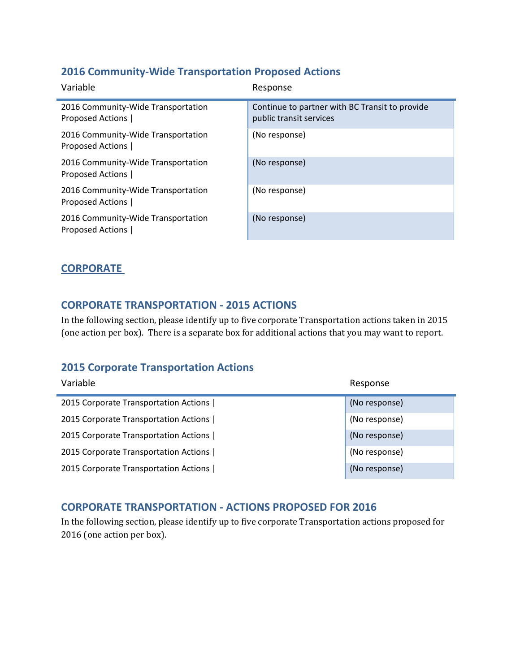### **2016 Community‐Wide Transportation Proposed Actions**

| Variable                                                      | Response                                                                  |
|---------------------------------------------------------------|---------------------------------------------------------------------------|
| 2016 Community-Wide Transportation<br>Proposed Actions        | Continue to partner with BC Transit to provide<br>public transit services |
| 2016 Community-Wide Transportation<br>Proposed Actions        | (No response)                                                             |
| 2016 Community-Wide Transportation<br>Proposed Actions        | (No response)                                                             |
| 2016 Community-Wide Transportation<br>Proposed Actions        | (No response)                                                             |
| 2016 Community-Wide Transportation<br><b>Proposed Actions</b> | (No response)                                                             |

### **CORPORATE**

#### **CORPORATE TRANSPORTATION ‐ 2015 ACTIONS**

In the following section, please identify up to five corporate Transportation actions taken in 2015 (one action per box). There is a separate box for additional actions that you may want to report.

#### **2015 Corporate Transportation Actions**

| Variable                              | Response      |
|---------------------------------------|---------------|
| 2015 Corporate Transportation Actions | (No response) |
| 2015 Corporate Transportation Actions | (No response) |
| 2015 Corporate Transportation Actions | (No response) |
| 2015 Corporate Transportation Actions | (No response) |
| 2015 Corporate Transportation Actions | (No response) |

#### **CORPORATE TRANSPORTATION ‐ ACTIONS PROPOSED FOR 2016**

In the following section, please identify up to five corporate Transportation actions proposed for 2016 (one action per box).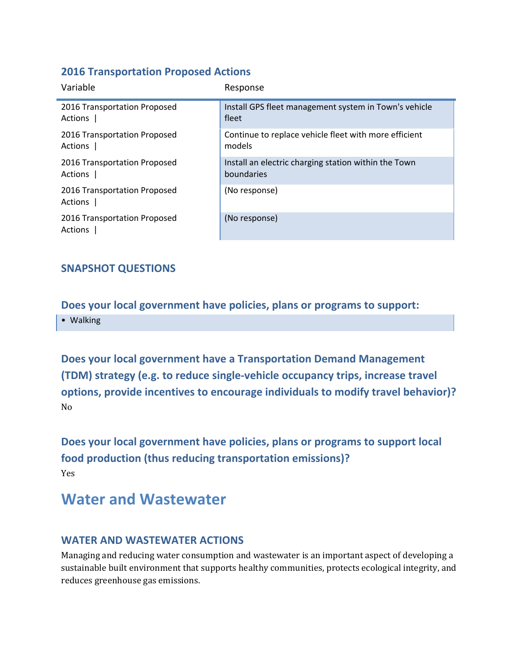#### **2016 Transportation Proposed Actions**

| Variable                                | Response                                              |
|-----------------------------------------|-------------------------------------------------------|
| 2016 Transportation Proposed            | Install GPS fleet management system in Town's vehicle |
| Actions                                 | fleet                                                 |
| 2016 Transportation Proposed            | Continue to replace vehicle fleet with more efficient |
| Actions                                 | models                                                |
| 2016 Transportation Proposed            | Install an electric charging station within the Town  |
| Actions                                 | boundaries                                            |
| 2016 Transportation Proposed<br>Actions | (No response)                                         |
| 2016 Transportation Proposed<br>Actions | (No response)                                         |

### **SNAPSHOT QUESTIONS**

**Does your local government have policies, plans or programs to support:** • Walking

**Does your local government have a Transportation Demand Management (TDM) strategy (e.g. to reduce single‐vehicle occupancy trips, increase travel options, provide incentives to encourage individuals to modify travel behavior)?** No 

**Does your local government have policies, plans or programs to support local food production (thus reducing transportation emissions)?** Yes 

# **Water and Wastewater**

#### **WATER AND WASTEWATER ACTIONS**

Managing and reducing water consumption and wastewater is an important aspect of developing a sustainable built environment that supports healthy communities, protects ecological integrity, and reduces greenhouse gas emissions.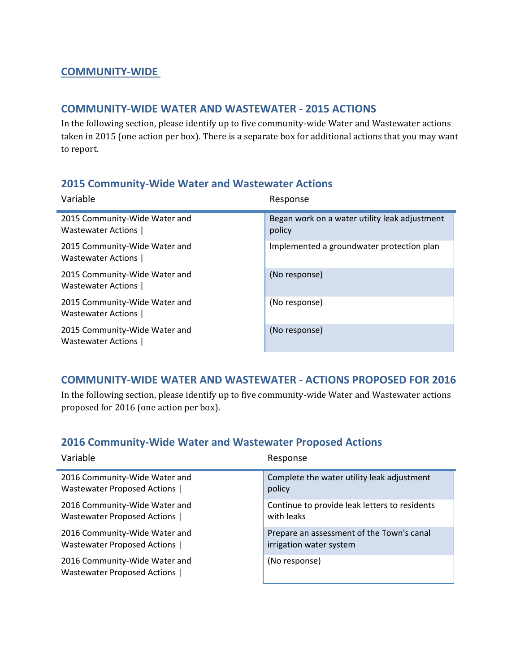#### **COMMUNITY‐WIDE**

#### **COMMUNITY‐WIDE WATER AND WASTEWATER ‐ 2015 ACTIONS**

In the following section, please identify up to five community-wide Water and Wastewater actions taken in 2015 (one action per box). There is a separate box for additional actions that you may want to report.

### **2015 Community‐Wide Water and Wastewater Actions**

| Variable                                            | Response                                                |
|-----------------------------------------------------|---------------------------------------------------------|
| 2015 Community-Wide Water and<br>Wastewater Actions | Began work on a water utility leak adjustment<br>policy |
| 2015 Community-Wide Water and<br>Wastewater Actions | Implemented a groundwater protection plan               |
| 2015 Community-Wide Water and<br>Wastewater Actions | (No response)                                           |
| 2015 Community-Wide Water and<br>Wastewater Actions | (No response)                                           |
| 2015 Community-Wide Water and<br>Wastewater Actions | (No response)                                           |

#### **COMMUNITY‐WIDE WATER AND WASTEWATER ‐ ACTIONS PROPOSED FOR 2016**

In the following section, please identify up to five community-wide Water and Wastewater actions proposed for 2016 (one action per box).

#### **2016 Community‐Wide Water and Wastewater Proposed Actions**

| Variable                                                     | Response                                      |
|--------------------------------------------------------------|-----------------------------------------------|
| 2016 Community-Wide Water and                                | Complete the water utility leak adjustment    |
| Wastewater Proposed Actions                                  | policy                                        |
| 2016 Community-Wide Water and                                | Continue to provide leak letters to residents |
| Wastewater Proposed Actions                                  | with leaks                                    |
| 2016 Community-Wide Water and                                | Prepare an assessment of the Town's canal     |
| Wastewater Proposed Actions                                  | irrigation water system                       |
| 2016 Community-Wide Water and<br>Wastewater Proposed Actions | (No response)                                 |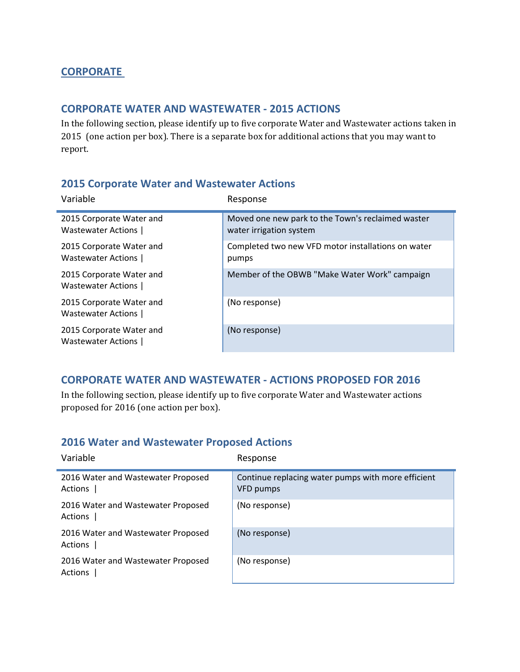### **CORPORATE**

#### **CORPORATE WATER AND WASTEWATER ‐ 2015 ACTIONS**

In the following section, please identify up to five corporate Water and Wastewater actions taken in 2015 (one action per box). There is a separate box for additional actions that you may want to report. 

#### **2015 Corporate Water and Wastewater Actions**

| Variable                                       | Response                                                                     |
|------------------------------------------------|------------------------------------------------------------------------------|
| 2015 Corporate Water and<br>Wastewater Actions | Moved one new park to the Town's reclaimed waster<br>water irrigation system |
| 2015 Corporate Water and<br>Wastewater Actions | Completed two new VFD motor installations on water<br>pumps                  |
| 2015 Corporate Water and<br>Wastewater Actions | Member of the OBWB "Make Water Work" campaign                                |
| 2015 Corporate Water and<br>Wastewater Actions | (No response)                                                                |
| 2015 Corporate Water and<br>Wastewater Actions | (No response)                                                                |

#### **CORPORATE WATER AND WASTEWATER ‐ ACTIONS PROPOSED FOR 2016**

In the following section, please identify up to five corporate Water and Wastewater actions proposed for 2016 (one action per box).

#### **2016 Water and Wastewater Proposed Actions**

| Variable                                      | Response                                                        |
|-----------------------------------------------|-----------------------------------------------------------------|
| 2016 Water and Wastewater Proposed<br>Actions | Continue replacing water pumps with more efficient<br>VFD pumps |
| 2016 Water and Wastewater Proposed<br>Actions | (No response)                                                   |
| 2016 Water and Wastewater Proposed<br>Actions | (No response)                                                   |
| 2016 Water and Wastewater Proposed<br>Actions | (No response)                                                   |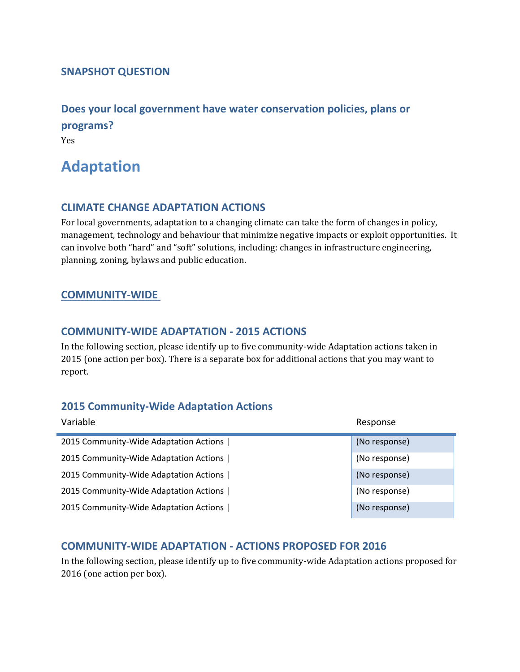#### **SNAPSHOT QUESTION**

**Does your local government have water conservation policies, plans or programs?** Yes 

# **Adaptation**

#### **CLIMATE CHANGE ADAPTATION ACTIONS**

For local governments, adaptation to a changing climate can take the form of changes in policy, management, technology and behaviour that minimize negative impacts or exploit opportunities. It can involve both "hard" and "soft" solutions, including: changes in infrastructure engineering, planning, zoning, bylaws and public education.

#### **COMMUNITY‐WIDE**

#### **COMMUNITY‐WIDE ADAPTATION ‐ 2015 ACTIONS**

In the following section, please identify up to five community-wide Adaptation actions taken in 2015 (one action per box). There is a separate box for additional actions that you may want to report. 

#### **2015 Community‐Wide Adaptation Actions**

| Variable                               | Response      |
|----------------------------------------|---------------|
| 2015 Community-Wide Adaptation Actions | (No response) |
| 2015 Community-Wide Adaptation Actions | (No response) |
| 2015 Community-Wide Adaptation Actions | (No response) |
| 2015 Community-Wide Adaptation Actions | (No response) |
| 2015 Community-Wide Adaptation Actions | (No response) |

#### **COMMUNITY‐WIDE ADAPTATION ‐ ACTIONS PROPOSED FOR 2016**

In the following section, please identify up to five community-wide Adaptation actions proposed for 2016 (one action per box).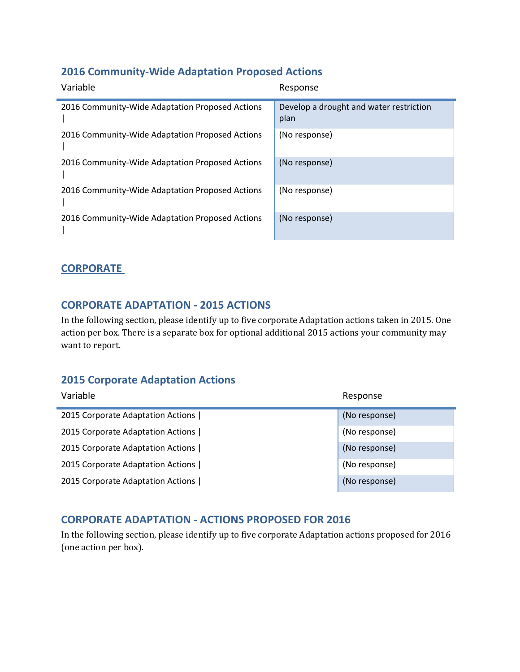# **2016 Community‐Wide Adaptation Proposed Actions**

| Variable                                        | Response                                        |
|-------------------------------------------------|-------------------------------------------------|
| 2016 Community-Wide Adaptation Proposed Actions | Develop a drought and water restriction<br>plan |
| 2016 Community-Wide Adaptation Proposed Actions | (No response)                                   |
| 2016 Community-Wide Adaptation Proposed Actions | (No response)                                   |
| 2016 Community-Wide Adaptation Proposed Actions | (No response)                                   |
| 2016 Community-Wide Adaptation Proposed Actions | (No response)                                   |

### **CORPORATE**

#### **CORPORATE ADAPTATION ‐ 2015 ACTIONS**

In the following section, please identify up to five corporate Adaptation actions taken in 2015. One action per box. There is a separate box for optional additional 2015 actions your community may want to report.

# **2015 Corporate Adaptation Actions**

| Variable                          | Response      |
|-----------------------------------|---------------|
| 2015 Corporate Adaptation Actions | (No response) |
| 2015 Corporate Adaptation Actions | (No response) |
| 2015 Corporate Adaptation Actions | (No response) |
| 2015 Corporate Adaptation Actions | (No response) |
| 2015 Corporate Adaptation Actions | (No response) |

# **CORPORATE ADAPTATION ‐ ACTIONS PROPOSED FOR 2016**

In the following section, please identify up to five corporate Adaptation actions proposed for 2016 (one action per box).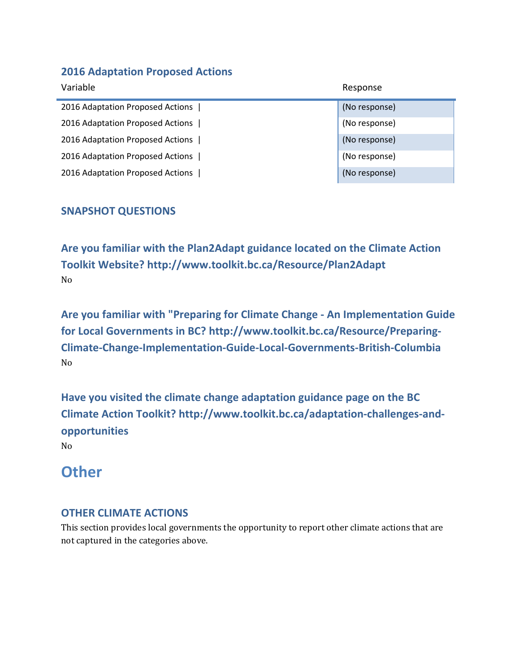### **2016 Adaptation Proposed Actions**

| Variable                         | Response      |
|----------------------------------|---------------|
| 2016 Adaptation Proposed Actions | (No response) |
| 2016 Adaptation Proposed Actions | (No response) |
| 2016 Adaptation Proposed Actions | (No response) |
| 2016 Adaptation Proposed Actions | (No response) |
| 2016 Adaptation Proposed Actions | (No response) |

# **SNAPSHOT QUESTIONS**

**Are you familiar with the Plan2Adapt guidance located on the Climate Action Toolkit Website? http://www.toolkit.bc.ca/Resource/Plan2Adapt** No 

**Are you familiar with "Preparing for Climate Change ‐ An Implementation Guide for Local Governments in BC? http://www.toolkit.bc.ca/Resource/Preparing‐ Climate‐Change‐Implementation‐Guide‐Local‐Governments‐British‐Columbia** No 

**Have you visited the climate change adaptation guidance page on the BC Climate Action Toolkit? http://www.toolkit.bc.ca/adaptation‐challenges‐and‐ opportunities**

No 

# **Other**

# **OTHER CLIMATE ACTIONS**

This section provides local governments the opportunity to report other climate actions that are not captured in the categories above.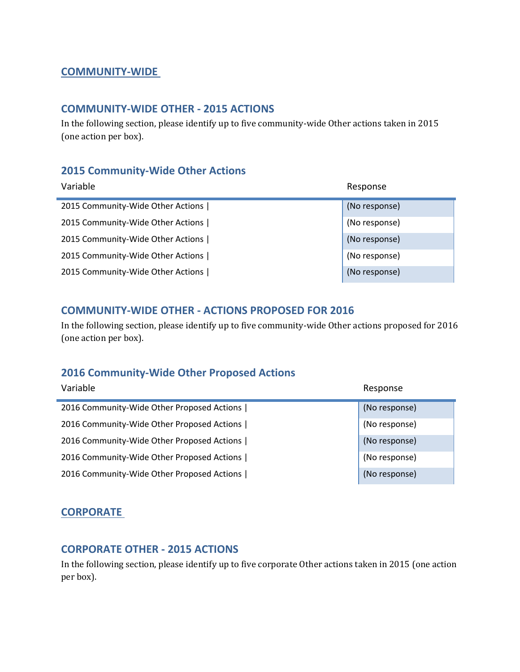#### **COMMUNITY‐WIDE**

#### **COMMUNITY‐WIDE OTHER ‐ 2015 ACTIONS**

In the following section, please identify up to five community-wide Other actions taken in 2015 (one action per box).

#### **2015 Community‐Wide Other Actions**

| Variable                          | Response      |
|-----------------------------------|---------------|
| 2015 Community-Wide Other Actions | (No response) |
| 2015 Community-Wide Other Actions | (No response) |
| 2015 Community-Wide Other Actions | (No response) |
| 2015 Community-Wide Other Actions | (No response) |
| 2015 Community-Wide Other Actions | (No response) |

#### **COMMUNITY‐WIDE OTHER ‐ ACTIONS PROPOSED FOR 2016**

In the following section, please identify up to five community-wide Other actions proposed for 2016 (one action per box).

#### **2016 Community‐Wide Other Proposed Actions**

| Variable                                   | Response      |
|--------------------------------------------|---------------|
| 2016 Community-Wide Other Proposed Actions | (No response) |
| 2016 Community-Wide Other Proposed Actions | (No response) |
| 2016 Community-Wide Other Proposed Actions | (No response) |
| 2016 Community-Wide Other Proposed Actions | (No response) |
| 2016 Community-Wide Other Proposed Actions | (No response) |

#### **CORPORATE**

#### **CORPORATE OTHER ‐ 2015 ACTIONS**

In the following section, please identify up to five corporate Other actions taken in 2015 (one action per box).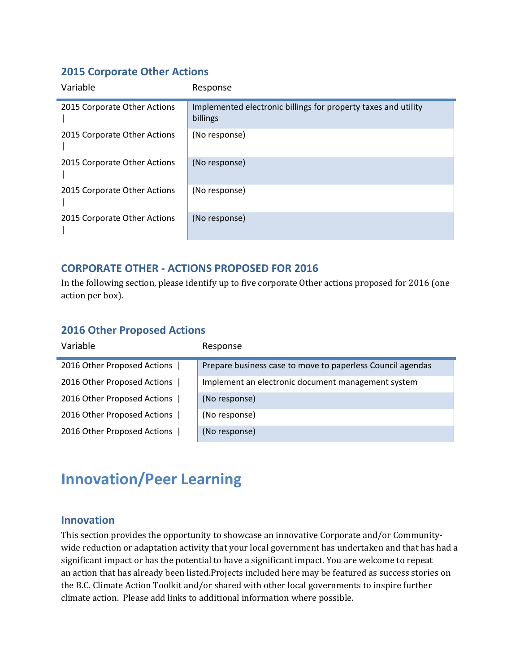### **2015 Corporate Other Actions**

| Variable                     | Response                                                                   |
|------------------------------|----------------------------------------------------------------------------|
| 2015 Corporate Other Actions | Implemented electronic billings for property taxes and utility<br>billings |
| 2015 Corporate Other Actions | (No response)                                                              |
| 2015 Corporate Other Actions | (No response)                                                              |
| 2015 Corporate Other Actions | (No response)                                                              |
| 2015 Corporate Other Actions | (No response)                                                              |

# **CORPORATE OTHER ‐ ACTIONS PROPOSED FOR 2016**

In the following section, please identify up to five corporate Other actions proposed for 2016 (one action per box).

#### **2016 Other Proposed Actions**

| Variable                    | Response                                                   |
|-----------------------------|------------------------------------------------------------|
| 2016 Other Proposed Actions | Prepare business case to move to paperless Council agendas |
| 2016 Other Proposed Actions | Implement an electronic document management system         |
| 2016 Other Proposed Actions | (No response)                                              |
| 2016 Other Proposed Actions | (No response)                                              |
| 2016 Other Proposed Actions | (No response)                                              |

# **Innovation/Peer Learning**

#### **Innovation**

This section provides the opportunity to showcase an innovative Corporate and/or Communitywide reduction or adaptation activity that your local government has undertaken and that has had a significant impact or has the potential to have a significant impact. You are welcome to repeat an action that has already been listed. Projects included here may be featured as success stories on the B.C. Climate Action Toolkit and/or shared with other local governments to inspire further climate action. Please add links to additional information where possible.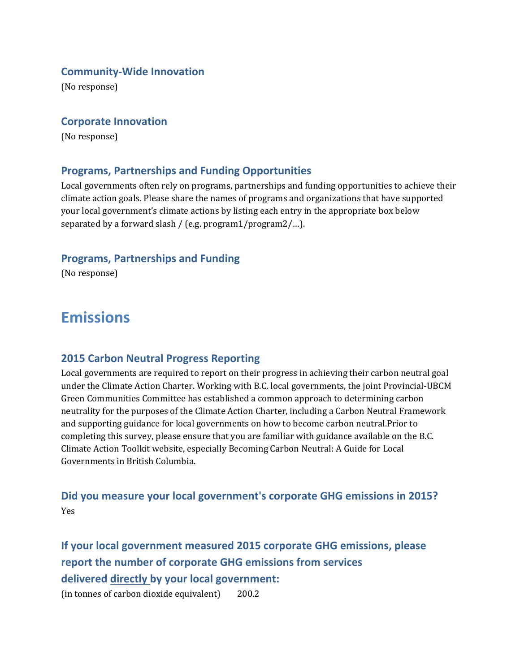#### **Community‐Wide Innovation**

(No response)

#### **Corporate Innovation**

(No response)

#### **Programs, Partnerships and Funding Opportunities**

Local governments often rely on programs, partnerships and funding opportunities to achieve their climate action goals. Please share the names of programs and organizations that have supported your local government's climate actions by listing each entry in the appropriate box below separated by a forward slash / (e.g.  $program1/program2/$ ...).

#### **Programs, Partnerships and Funding**

(No response)

# **Emissions**

#### **2015 Carbon Neutral Progress Reporting**

Local governments are required to report on their progress in achieving their carbon neutral goal under the Climate Action Charter. Working with B.C. local governments, the joint Provincial-UBCM Green Communities Committee has established a common approach to determining carbon neutrality for the purposes of the Climate Action Charter, including a Carbon Neutral Framework and supporting guidance for local governments on how to become carbon neutral. Prior to completing this survey, please ensure that you are familiar with guidance available on the B.C. Climate Action Toolkit website, especially Becoming Carbon Neutral: A Guide for Local Governments in British Columbia.

### **Did you measure your local government's corporate GHG emissions in 2015?** Yes

**If your local government measured 2015 corporate GHG emissions, please report the number of corporate GHG emissions from services delivered directly by your local government:**

 $(in \text{ tonnes of carbon dioxide equivalent})$  200.2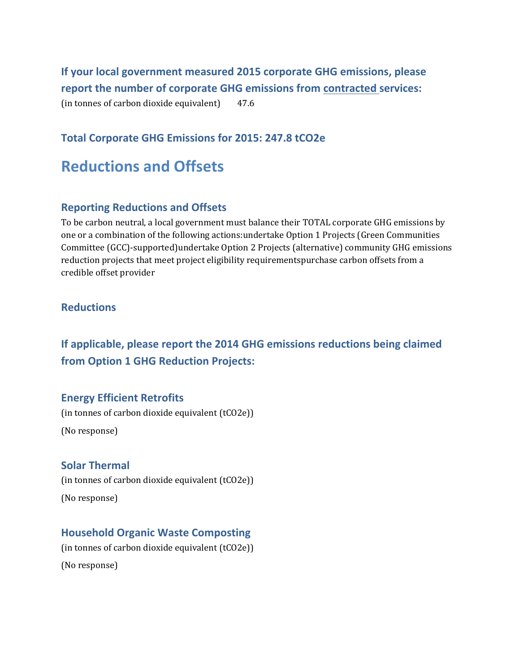**If your local government measured 2015 corporate GHG emissions, please report the number of corporate GHG emissions from contracted services:** (in tonnes of carbon dioxide equivalent)  $47.6$ 

#### **Total Corporate GHG Emissions for 2015: 247.8 tCO2e**

# **Reductions and Offsets**

#### **Reporting Reductions and Offsets**

To be carbon neutral, a local government must balance their TOTAL corporate GHG emissions by one or a combination of the following actions: undertake Option 1 Projects (Green Communities Committee (GCC)-supported)undertake Option 2 Projects (alternative) community GHG emissions reduction projects that meet project eligibility requirementspurchase carbon offsets from a credible offset provider

#### **Reductions**

# **If applicable, please report the 2014 GHG emissions reductions being claimed from Option 1 GHG Reduction Projects:**

#### **Energy Efficient Retrofits**

(in tonnes of carbon dioxide equivalent  $(tCO2e)$ ) (No response)

#### **Solar Thermal**

(in tonnes of carbon dioxide equivalent (tCO2e)) (No response)

#### **Household Organic Waste Composting**

(in tonnes of carbon dioxide equivalent  $(tCO2e)$ )

(No response)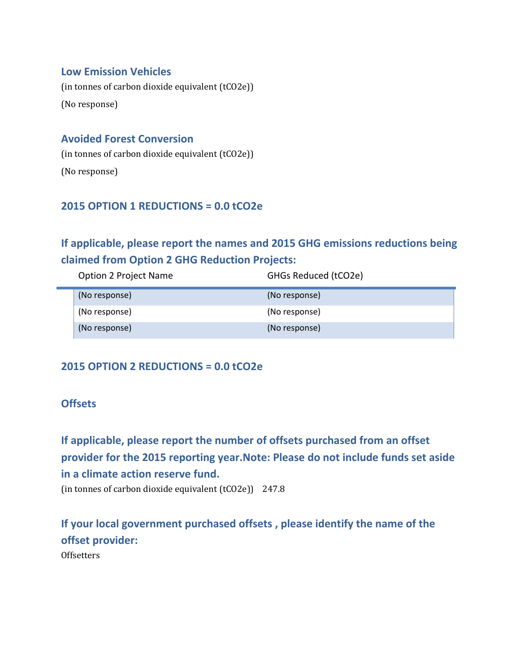#### **Low Emission Vehicles**

(in tonnes of carbon dioxide equivalent  $(tCO2e)$ ) (No response)

#### **Avoided Forest Conversion**

(in tonnes of carbon dioxide equivalent  $(tCO2e)$ ) (No response)

### **2015 OPTION 1 REDUCTIONS = 0.0 tCO2e**

# **If applicable, please report the names and 2015 GHG emissions reductions being claimed from Option 2 GHG Reduction Projects:**

| <b>Option 2 Project Name</b> | GHGs Reduced (tCO2e) |
|------------------------------|----------------------|
| (No response)                | (No response)        |
| (No response)                | (No response)        |
| (No response)                | (No response)        |

# **2015 OPTION 2 REDUCTIONS = 0.0 tCO2e**

#### **Offsets**

**If applicable, please report the number of offsets purchased from an offset provider for the 2015 reporting year.Note: Please do not include funds set aside in a climate action reserve fund.** (in tonnes of carbon dioxide equivalent  $(tCO2e)$ ) 247.8

**If your local government purchased offsets , please identify the name of the offset provider: Offsetters**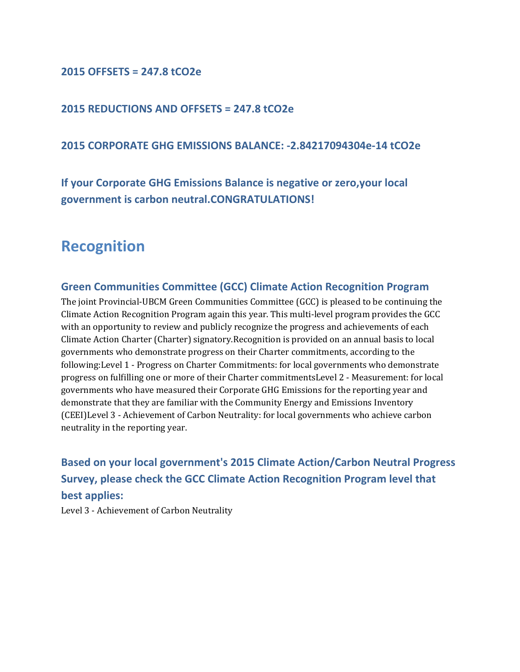#### **2015 OFFSETS = 247.8 tCO2e**

#### **2015 REDUCTIONS AND OFFSETS = 247.8 tCO2e**

#### **2015 CORPORATE GHG EMISSIONS BALANCE: ‐2.84217094304e‐14 tCO2e**

**If your Corporate GHG Emissions Balance is negative or zero,your local government is carbon neutral.CONGRATULATIONS!**

# **Recognition**

#### **Green Communities Committee (GCC) Climate Action Recognition Program**

The joint Provincial-UBCM Green Communities Committee  $(GCC)$  is pleased to be continuing the Climate Action Recognition Program again this year. This multi-level program provides the GCC with an opportunity to review and publicly recognize the progress and achievements of each Climate Action Charter (Charter) signatory.Recognition is provided on an annual basis to local governments who demonstrate progress on their Charter commitments, according to the following: Level 1 - Progress on Charter Commitments: for local governments who demonstrate progress on fulfilling one or more of their Charter commitmentsLevel 2 - Measurement: for local governments who have measured their Corporate GHG Emissions for the reporting year and demonstrate that they are familiar with the Community Energy and Emissions Inventory (CEEI)Level 3 - Achievement of Carbon Neutrality: for local governments who achieve carbon neutrality in the reporting year.

**Based on your local government's 2015 Climate Action/Carbon Neutral Progress Survey, please check the GCC Climate Action Recognition Program level that best applies:**

Level 3 - Achievement of Carbon Neutrality